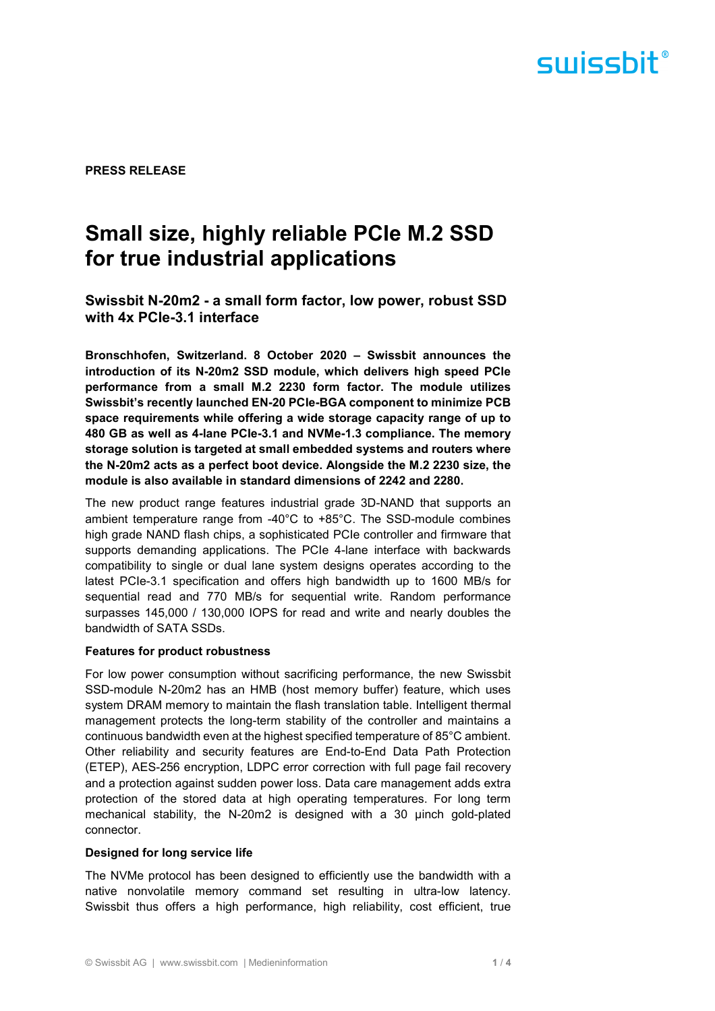

**PRESS RELEASE** 

# **Small size, highly reliable PCIe M.2 SSD for true industrial applications**

**Swissbit N-20m2 - a small form factor, low power, robust SSD with 4x PCIe-3.1 interface** 

**Bronschhofen, Switzerland. 8 October 2020 – Swissbit announces the introduction of its N-20m2 SSD module, which delivers high speed PCIe performance from a small M.2 2230 form factor. The module utilizes Swissbit's recently launched EN-20 PCIe-BGA component to minimize PCB space requirements while offering a wide storage capacity range of up to 480 GB as well as 4-lane PCIe-3.1 and NVMe-1.3 compliance. The memory storage solution is targeted at small embedded systems and routers where the N-20m2 acts as a perfect boot device. Alongside the M.2 2230 size, the module is also available in standard dimensions of 2242 and 2280.** 

The new product range features industrial grade 3D-NAND that supports an ambient temperature range from -40°C to +85°C. The SSD-module combines high grade NAND flash chips, a sophisticated PCIe controller and firmware that supports demanding applications. The PCIe 4-lane interface with backwards compatibility to single or dual lane system designs operates according to the latest PCIe-3.1 specification and offers high bandwidth up to 1600 MB/s for sequential read and 770 MB/s for sequential write. Random performance surpasses 145,000 / 130,000 IOPS for read and write and nearly doubles the bandwidth of SATA SSDs.

#### **Features for product robustness**

For low power consumption without sacrificing performance, the new Swissbit SSD-module N-20m2 has an HMB (host memory buffer) feature, which uses system DRAM memory to maintain the flash translation table. Intelligent thermal management protects the long-term stability of the controller and maintains a continuous bandwidth even at the highest specified temperature of 85°C ambient. Other reliability and security features are End-to-End Data Path Protection (ETEP), AES-256 encryption, LDPC error correction with full page fail recovery and a protection against sudden power loss. Data care management adds extra protection of the stored data at high operating temperatures. For long term mechanical stability, the N-20m2 is designed with a 30 µinch gold-plated connector.

#### **Designed for long service life**

The NVMe protocol has been designed to efficiently use the bandwidth with a native nonvolatile memory command set resulting in ultra-low latency. Swissbit thus offers a high performance, high reliability, cost efficient, true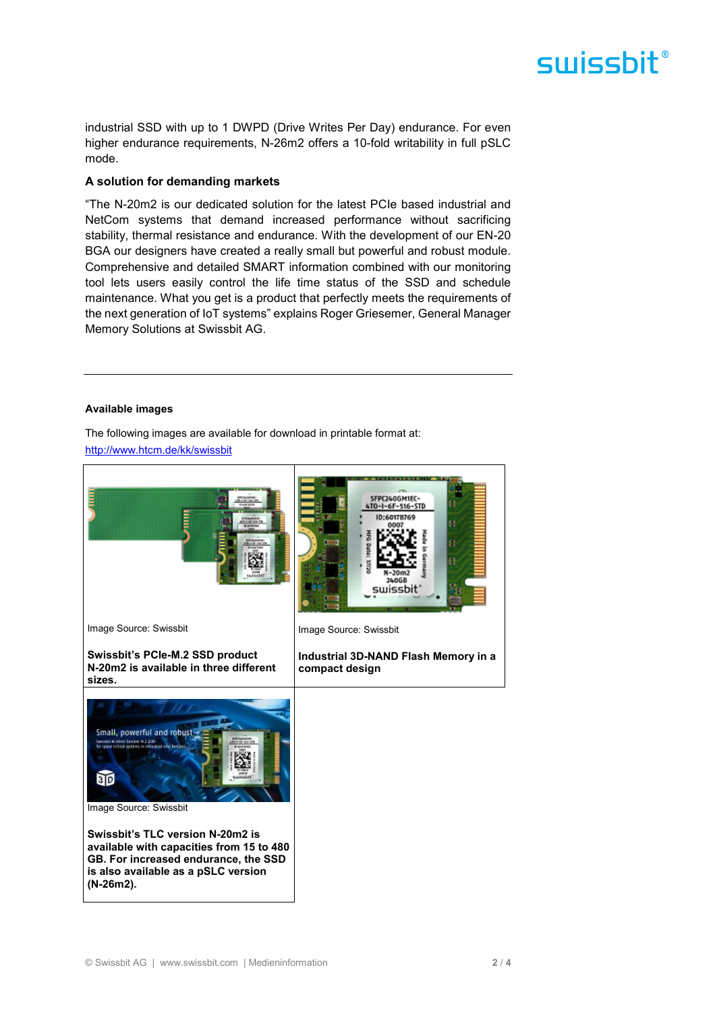# swissbit®

industrial SSD with up to 1 DWPD (Drive Writes Per Day) endurance. For even higher endurance requirements, N-26m2 offers a 10-fold writability in full pSLC mode.

### **A solution for demanding markets**

"The N-20m2 is our dedicated solution for the latest PCIe based industrial and NetCom systems that demand increased performance without sacrificing stability, thermal resistance and endurance. With the development of our EN-20 BGA our designers have created a really small but powerful and robust module. Comprehensive and detailed SMART information combined with our monitoring tool lets users easily control the life time status of the SSD and schedule maintenance. What you get is a product that perfectly meets the requirements of the next generation of IoT systems" explains Roger Griesemer, General Manager Memory Solutions at Swissbit AG.

#### **Available images**

The following images are available for download in printable format at: http://www.htcm.de/kk/swissbit

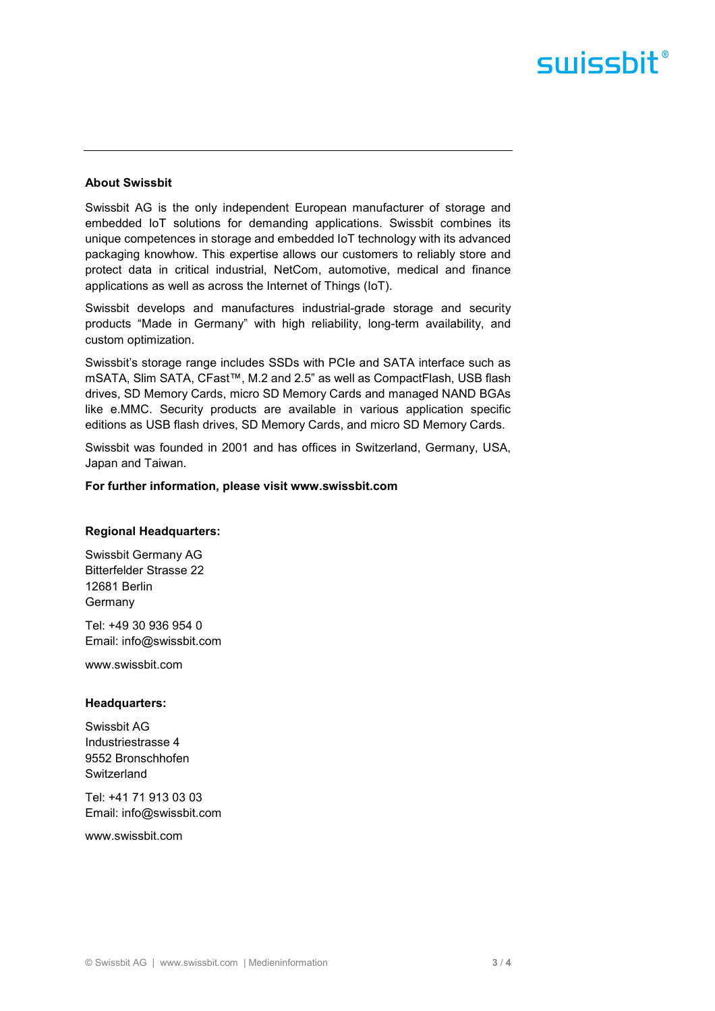# swissbit®

### **About Swissbit**

Swissbit AG is the only independent European manufacturer of storage and embedded IoT solutions for demanding applications. Swissbit combines its unique competences in storage and embedded IoT technology with its advanced packaging knowhow. This expertise allows our customers to reliably store and protect data in critical industrial, NetCom, automotive, medical and finance applications as well as across the Internet of Things (IoT).

Swissbit develops and manufactures industrial-grade storage and security products "Made in Germany" with high reliability, long-term availability, and custom optimization.

Swissbit's storage range includes SSDs with PCIe and SATA interface such as mSATA, Slim SATA, CFast™, M.2 and 2.5" as well as CompactFlash, USB flash drives, SD Memory Cards, micro SD Memory Cards and managed NAND BGAs like e.MMC. Security products are available in various application specific editions as USB flash drives, SD Memory Cards, and micro SD Memory Cards.

Swissbit was founded in 2001 and has offices in Switzerland, Germany, USA, Japan and Taiwan.

#### **For further information, please visit www.swissbit.com**

#### **Regional Headquarters:**

Swissbit Germany AG Bitterfelder Strasse 22 12681 Berlin Germany

Tel: +49 30 936 954 0 Email: info@swissbit.com

www.swissbit.com

#### **Headquarters:**

Swissbit AG Industriestrasse 4 9552 Bronschhofen **Switzerland** 

Tel: +41 71 913 03 03 Email: info@swissbit.com

www.swissbit.com